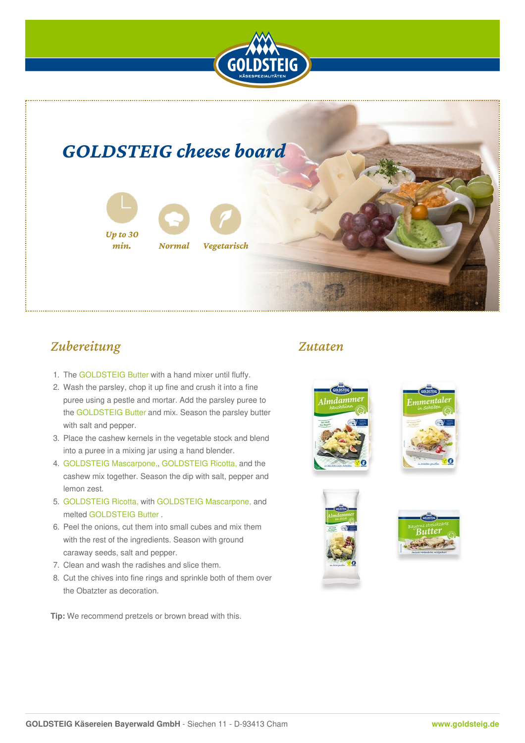

# *GOLDSTEIG cheese board*



## *Zubereitung*

- 1. The [GOLDSTEIG](https://www.goldsteig.de/en/typesofcheese/butter) Butter with a hand mixer until fluffy.
- 2. Wash the parsley, chop it up fine and crush it into a fine puree using a pestle and mortar. Add the parsley puree to the [GOLDSTEIG](https://www.goldsteig.de/en/typesofcheese/butter) Butter and mix. Season the parsley butter with salt and pepper.
- 3. Place the cashew kernels in the vegetable stock and blend into a puree in a mixing jar using a hand blender.
- 4. [GOLDSTEIG](https://www.goldsteig.de/en/typesofcheese/mascarpone) Mascarpone,, [GOLDSTEIG](https://www.goldsteig.de/en/typesofcheese/ricotta) Ricotta, and the cashew mix together. Season the dip with salt, pepper and lemon zest.
- 5. [GOLDSTEIG](https://www.goldsteig.de/en/typesofcheese/ricotta) Ricotta, with [GOLDSTEIG](https://www.goldsteig.de/en/typesofcheese/mascarpone) Mascarpone, and melted [GOLDSTEIG](https://www.goldsteig.de/en/typesofcheese/butter) Butter .
- 6. Peel the onions, cut them into small cubes and mix them with the rest of the ingredients. Season with ground caraway seeds, salt and pepper.
- 7. Clean and wash the radishes and slice them.
- 8. Cut the chives into fine rings and sprinkle both of them over the Obatzter as decoration.

**Tip:** We recommend pretzels or brown bread with this.

### *Zutaten*





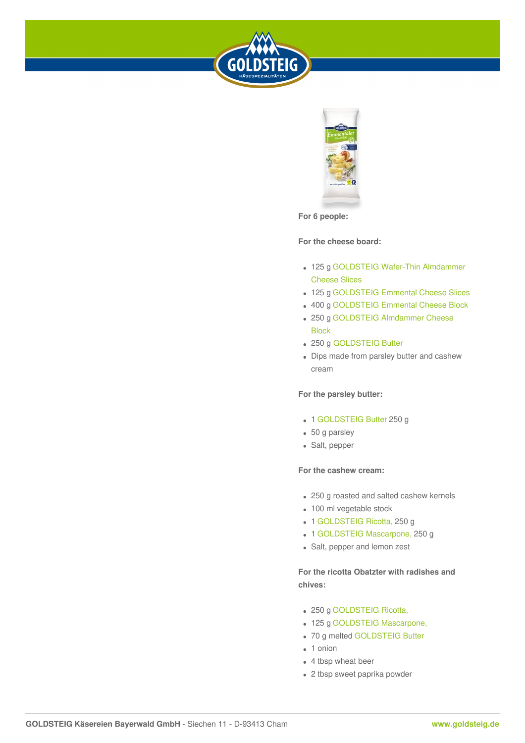



**For 6 people:**

#### **For the cheese board:**

- 125 g [GOLDSTEIG](https://www.goldsteig.de/en/typesofcheese/almdammer/wafer-thin-almdammer-cheese-slices-125-g) Wafer-Thin Almdammer Cheese Slices
- 125 g [GOLDSTEIG](https://www.goldsteig.de/en/typesofcheese/emmental/emmental-cheese-slices-150-g) Emmental Cheese Slices
- 400 g [GOLDSTEIG](https://www.goldsteig.de/en/typesofcheese/emmental/emmental-cheese-block-250-g-and-400-g) Emmental Cheese Block
- 250 g [GOLDSTEIG](https://www.goldsteig.de/en/typesofcheese/almdammer/almdammer-cheese-block-250-g) Almdammer Cheese Block
- 250 g [GOLDSTEIG](https://www.goldsteig.de/en/typesofcheese/butter) Butter
- Dips made from parsley butter and cashew cream

#### **For the parsley butter:**

- 1 [GOLDSTEIG](https://www.goldsteig.de/en/typesofcheese/butter) Butter 250 g
- 50 g parsley
- Salt, pepper

#### **For the cashew cream:**

- 250 g roasted and salted cashew kernels
- 100 ml vegetable stock
- 1 [GOLDSTEIG](https://www.goldsteig.de/en/typesofcheese/ricotta) Ricotta, 250 g
- 1 [GOLDSTEIG](https://www.goldsteig.de/en/typesofcheese/mascarpone) Mascarpone, 250 g
- Salt, pepper and lemon zest

**For the ricotta Obatzter with radishes and chives:**

- 250 g [GOLDSTEIG](https://www.goldsteig.de/en/typesofcheese/ricotta) Ricotta,
- 125 g [GOLDSTEIG](https://www.goldsteig.de/en/typesofcheese/mascarpone) Mascarpone,
- 70 g melted [GOLDSTEIG](https://www.goldsteig.de/en/typesofcheese/butter) Butter
- 1 onion
- 4 tbsp wheat beer
- 2 tbsp sweet paprika powder